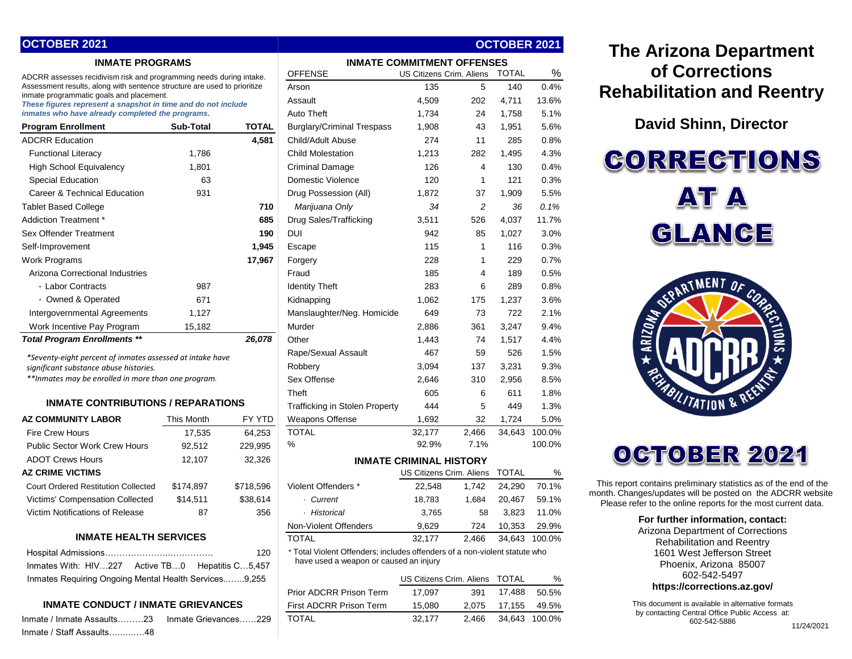| OCTOBER 2021                                                                                                                                               |            |                  |                                                                            |        |                          | <b>OCTOBER 2021</b> |        |
|------------------------------------------------------------------------------------------------------------------------------------------------------------|------------|------------------|----------------------------------------------------------------------------|--------|--------------------------|---------------------|--------|
| <b>INMATE PROGRAMS</b>                                                                                                                                     |            |                  | <b>INMATE COMMITMENT OFFENSES</b>                                          |        |                          |                     |        |
| ADCRR assesses recidivism risk and programming needs during intake.<br>Assessment results, along with sentence structure are used to prioritize            |            |                  | <b>OFFENSE</b>                                                             |        | US Citizens Crim. Aliens | <b>TOTAL</b>        | %      |
|                                                                                                                                                            |            |                  | Arson                                                                      | 135    | 5                        | 140                 | 0.4%   |
| inmate programmatic goals and placement.<br>These figures represent a snapshot in time and do not include                                                  |            |                  | Assault                                                                    | 4,509  | 202                      | 4,711               | 13.6%  |
| inmates who have already completed the programs.                                                                                                           |            |                  | <b>Auto Theft</b>                                                          | 1,734  | 24                       | 1,758               | 5.1%   |
| <b>Program Enrollment</b>                                                                                                                                  | Sub-Total  | <b>TOTAL</b>     | <b>Burglary/Criminal Trespass</b>                                          | 1,908  | 43                       | 1,951               | 5.6%   |
| <b>ADCRR Education</b>                                                                                                                                     |            | 4,581            | Child/Adult Abuse                                                          | 274    | 11                       | 285                 | 0.8%   |
| <b>Functional Literacy</b>                                                                                                                                 | 1,786      |                  | <b>Child Molestation</b>                                                   | 1,213  | 282                      | 1,495               | 4.3%   |
| <b>High School Equivalency</b>                                                                                                                             | 1,801      |                  | <b>Criminal Damage</b>                                                     | 126    | 4                        | 130                 | 0.4%   |
| <b>Special Education</b>                                                                                                                                   | 63         |                  | Domestic Violence                                                          | 120    | $\mathbf{1}$             | 121                 | 0.3%   |
| Career & Technical Education                                                                                                                               | 931        |                  | Drug Possession (All)                                                      | 1,872  | 37                       | 1,909               | 5.5%   |
| <b>Tablet Based College</b>                                                                                                                                |            | 710              | Marijuana Only                                                             | 34     | 2                        | 36                  | 0.1%   |
| Addiction Treatment *                                                                                                                                      |            | 685              | Drug Sales/Trafficking                                                     | 3,511  | 526                      | 4,037               | 11.7%  |
| Sex Offender Treatment                                                                                                                                     |            | 190              | DUI                                                                        | 942    | 85                       | 1,027               | 3.0%   |
| Self-Improvement                                                                                                                                           |            | 1,945            | Escape                                                                     | 115    | 1                        | 116                 | 0.3%   |
| <b>Work Programs</b>                                                                                                                                       |            | 17,967           | Forgery                                                                    | 228    | 1                        | 229                 | 0.7%   |
| Arizona Correctional Industries                                                                                                                            |            |                  | Fraud                                                                      | 185    | 4                        | 189                 | 0.5%   |
| · Labor Contracts                                                                                                                                          | 987        |                  | <b>Identity Theft</b>                                                      | 283    | 6                        | 289                 | 0.8%   |
| · Owned & Operated                                                                                                                                         | 671        |                  | Kidnapping                                                                 | 1,062  | 175                      | 1,237               | 3.6%   |
| Intergovernmental Agreements                                                                                                                               | 1,127      |                  | Manslaughter/Neg. Homicide                                                 | 649    | 73                       | 722                 | 2.1%   |
| Work Incentive Pay Program                                                                                                                                 | 15,182     |                  | Murder                                                                     | 2,886  | 361                      | 3,247               | 9.4%   |
| <b>Total Program Enrollments **</b>                                                                                                                        |            | 26,078           | Other                                                                      | 1,443  | 74                       | 1,517               | 4.4%   |
|                                                                                                                                                            |            |                  | Rape/Sexual Assault                                                        | 467    | 59                       | 526                 | 1.5%   |
| *Seventy-eight percent of inmates assessed at intake have<br>significant substance abuse histories.<br>**Inmates may be enrolled in more than one program. |            |                  | Robbery                                                                    | 3,094  | 137                      | 3,231               | 9.3%   |
|                                                                                                                                                            |            |                  | Sex Offense                                                                | 2,646  | 310                      | 2,956               | 8.5%   |
| <b>INMATE CONTRIBUTIONS / REPARATIONS</b>                                                                                                                  |            |                  | Theft                                                                      | 605    | 6                        | 611                 | 1.8%   |
|                                                                                                                                                            |            |                  | <b>Trafficking in Stolen Property</b>                                      | 444    | 5                        | 449                 | 1.3%   |
| <b>AZ COMMUNITY LABOR</b>                                                                                                                                  | This Month | FY YTD           | Weapons Offense                                                            | 1,692  | 32                       | 1,724               | 5.0%   |
| <b>Fire Crew Hours</b>                                                                                                                                     | 17,535     | 64,253           | <b>TOTAL</b>                                                               | 32,177 | 2,466                    | 34,643              | 100.0% |
| <b>Public Sector Work Crew Hours</b>                                                                                                                       | 92,512     | 229,995          | %                                                                          | 92.9%  | 7.1%                     |                     | 100.0% |
| <b>ADOT Crews Hours</b>                                                                                                                                    | 12,107     | 32,326           | <b>INMATE CRIMINAL HISTORY</b>                                             |        |                          |                     |        |
| <b>AZ CRIME VICTIMS</b>                                                                                                                                    |            |                  |                                                                            |        | US Citizens Crim. Aliens | <b>TOTAL</b>        | %      |
| <b>Court Ordered Restitution Collected</b>                                                                                                                 | \$174,897  | \$718,596        | Violent Offenders *                                                        | 22,548 | 1,742                    | 24,290              | 70.1%  |
| Victims' Compensation Collected                                                                                                                            | \$14,511   | \$38,614         | · Current                                                                  | 18,783 | 1,684                    | 20,467              | 59.1%  |
| Victim Notifications of Release                                                                                                                            | 87         | 356              | · Historical                                                               | 3,765  | 58                       | 3,823               | 11.0%  |
|                                                                                                                                                            |            |                  | Non-Violent Offenders                                                      | 9,629  | 724                      | 10,353              | 29.9%  |
| <b>INMATE HEALTH SERVICES</b>                                                                                                                              |            |                  | <b>TOTAL</b>                                                               | 32,177 | 2,466                    | 34,643              | 100.0% |
| 120                                                                                                                                                        |            |                  | * Total Violent Offenders; includes offenders of a non-violent statute who |        |                          |                     |        |
| Inmates With: HIV227 Active TB0                                                                                                                            |            | Hepatitis C5,457 | have used a weapon or caused an injury                                     |        |                          |                     |        |
| Inmates Requiring Ongoing Mental Health Services9,255                                                                                                      |            |                  |                                                                            |        | US Citizens Crim. Aliens | TOTAL               | %      |
|                                                                                                                                                            |            |                  | Prior ADCRR Prison Term                                                    | 17,097 | 391                      | 17,488              | 50.5%  |
| <b>INMATE CONDUCT / INMATE GRIEVANCES</b>                                                                                                                  |            |                  | First ADCRR Prison Term                                                    | 15,080 | 2,075                    | 17,155              | 49.5%  |
| Inmate / Inmate Assaults23    Inmate Grievances<br>.229                                                                                                    |            |                  | <b>TOTAL</b>                                                               | 32.177 | 2.466                    | 34.643              | 100.0% |

Inmate / Staff Assaults…..…..…48

# **The Arizona Department of Corrections Rehabilitation and Reentry**

**David Shinn, Director**

**CORRECTIONS AT A** GLANCE



# OCTOBER 2021

This report contains preliminary statistics as of the end of the month. Changes/updates will be posted on the ADCRR website. Please refer to the online reports for the most current data.

#### **For further information, contact:**

Arizona Department of Corrections Rehabilitation and Reentry 1601 West Jefferson Street Phoenix, Arizona 85007 602-542-5497 **https://corrections.az.gov/**

This document is available in alternative formats by contacting Central Office Public Access at: 602-542-5886